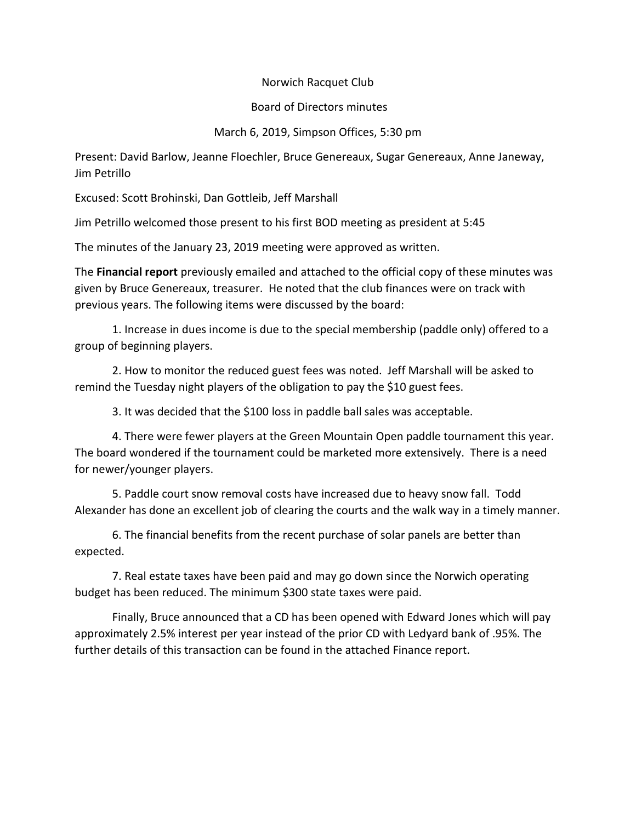## Norwich Racquet Club

## Board of Directors minutes

## March 6, 2019, Simpson Offices, 5:30 pm

Present: David Barlow, Jeanne Floechler, Bruce Genereaux, Sugar Genereaux, Anne Janeway, Jim Petrillo

Excused: Scott Brohinski, Dan Gottleib, Jeff Marshall

Jim Petrillo welcomed those present to his first BOD meeting as president at 5:45

The minutes of the January 23, 2019 meeting were approved as written.

The **Financial report** previously emailed and attached to the official copy of these minutes was given by Bruce Genereaux, treasurer. He noted that the club finances were on track with previous years. The following items were discussed by the board:

1. Increase in dues income is due to the special membership (paddle only) offered to a group of beginning players.

2. How to monitor the reduced guest fees was noted. Jeff Marshall will be asked to remind the Tuesday night players of the obligation to pay the \$10 guest fees.

3. It was decided that the \$100 loss in paddle ball sales was acceptable.

4. There were fewer players at the Green Mountain Open paddle tournament this year. The board wondered if the tournament could be marketed more extensively. There is a need for newer/younger players.

5. Paddle court snow removal costs have increased due to heavy snow fall. Todd Alexander has done an excellent job of clearing the courts and the walk way in a timely manner.

6. The financial benefits from the recent purchase of solar panels are better than expected.

7. Real estate taxes have been paid and may go down since the Norwich operating budget has been reduced. The minimum \$300 state taxes were paid.

Finally, Bruce announced that a CD has been opened with Edward Jones which will pay approximately 2.5% interest per year instead of the prior CD with Ledyard bank of .95%. The further details of this transaction can be found in the attached Finance report.